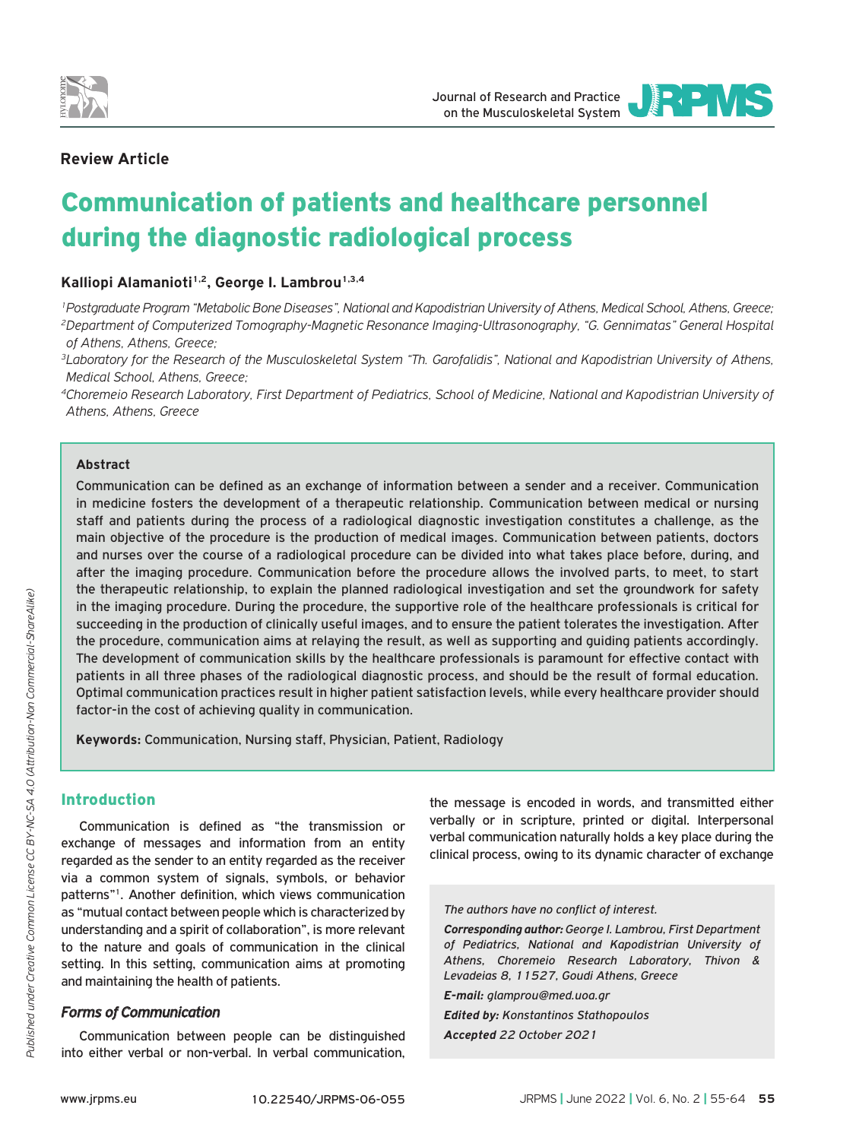

**INEIVIS** Journal of Research and Practice on the Musculoskeletal System

JOURNAL OF RESEARCH AND PRACTICE

# **Review Article**

# Communication of patients and healthcare personnel during the diagnostic radiological process

Kalliopi Alamanioti<sup>1,2</sup>, George I. Lambrou<sup>1,3,4</sup>

*1Postgraduate Program "Metabolic Bone Diseases", National and Kapodistrian University of Athens, Medical School, Athens, Greece; 2Department of Computerized Tomography-Magnetic Resonance Imaging-Ultrasonography, "G. Gennimatas" General Hospital of Athens, Athens, Greece;*

*3Laboratory for the Research of the Musculoskeletal System "Th. Garofalidis", National and Kapodistrian University of Athens, Medical School, Athens, Greece;*

*4Choremeio Research Laboratory, First Department of Pediatrics, School of Medicine, National and Kapodistrian University of Athens, Athens, Greece*

### **Abstract**

Communication can be defined as an exchange of information between a sender and a receiver. Communication in medicine fosters the development of a therapeutic relationship. Communication between medical or nursing staff and patients during the process of a radiological diagnostic investigation constitutes a challenge, as the main objective of the procedure is the production of medical images. Communication between patients, doctors and nurses over the course of a radiological procedure can be divided into what takes place before, during, and after the imaging procedure. Communication before the procedure allows the involved parts, to meet, to start the therapeutic relationship, to explain the planned radiological investigation and set the groundwork for safety in the imaging procedure. During the procedure, the supportive role of the healthcare professionals is critical for succeeding in the production of clinically useful images, and to ensure the patient tolerates the investigation. After the procedure, communication aims at relaying the result, as well as supporting and guiding patients accordingly. The development of communication skills by the healthcare professionals is paramount for effective contact with patients in all three phases of the radiological diagnostic process, and should be the result of formal education. Optimal communication practices result in higher patient satisfaction levels, while every healthcare provider should factor-in the cost of achieving quality in communication.

**Keywords:** Communication, Nursing staff, Physician, Patient, Radiology

## Introduction

Communication is defined as "the transmission or exchange of messages and information from an entity regarded as the sender to an entity regarded as the receiver via a common system of signals, symbols, or behavior patterns"1. Another definition, which views communication as "mutual contact between people which is characterized by understanding and a spirit of collaboration", is more relevant to the nature and goals of communication in the clinical setting. In this setting, communication aims at promoting and maintaining the health of patients.

## *Forms of Communication*

Communication between people can be distinguished into either verbal or non-verbal. In verbal communication,

the message is encoded in words, and transmitted either verbally or in scripture, printed or digital. Interpersonal verbal communication naturally holds a key place during the clinical process, owing to its dynamic character of exchange

#### *The authors have no conflict of interest.*

*Corresponding author: George I. Lambrou, First Department of Pediatrics, National and Kapodistrian University of Athens, Choremeio Research Laboratory, Thivon & Levadeias 8, 11527, Goudi Athens, Greece*

*E-mail: glamprou@med.uoa.gr*

*Edited by: Konstantinos Stathopoulos Accepted 22 October 2021*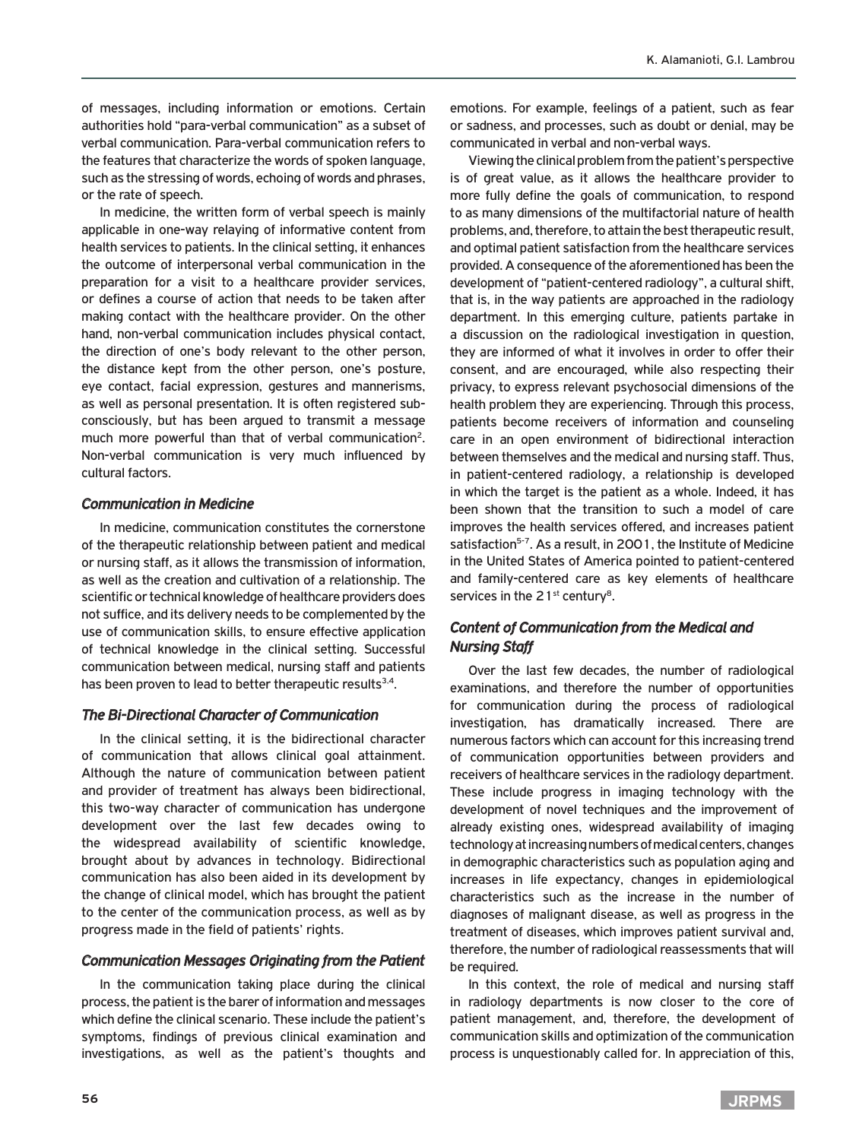of messages, including information or emotions. Certain authorities hold "para-verbal communication" as a subset of verbal communication. Para-verbal communication refers to the features that characterize the words of spoken language, such as the stressing of words, echoing of words and phrases, or the rate of speech.

In medicine, the written form of verbal speech is mainly applicable in one-way relaying of informative content from health services to patients. In the clinical setting, it enhances the outcome of interpersonal verbal communication in the preparation for a visit to a healthcare provider services, or defines a course of action that needs to be taken after making contact with the healthcare provider. On the other hand, non-verbal communication includes physical contact, the direction of one's body relevant to the other person, the distance kept from the other person, one's posture, eye contact, facial expression, gestures and mannerisms, as well as personal presentation. It is often registered subconsciously, but has been argued to transmit a message much more powerful than that of verbal communication<sup>2</sup>. Non-verbal communication is very much influenced by cultural factors.

## *Communication in Medicine*

In medicine, communication constitutes the cornerstone of the therapeutic relationship between patient and medical or nursing staff, as it allows the transmission of information, as well as the creation and cultivation of a relationship. The scientific or technical knowledge of healthcare providers does not suffice, and its delivery needs to be complemented by the use of communication skills, to ensure effective application of technical knowledge in the clinical setting. Successful communication between medical, nursing staff and patients has been proven to lead to better therapeutic results<sup>3,4</sup>.

### *The Bi-Directional Character of Communication*

In the clinical setting, it is the bidirectional character of communication that allows clinical goal attainment. Although the nature of communication between patient and provider of treatment has always been bidirectional, this two-way character of communication has undergone development over the last few decades owing to the widespread availability of scientific knowledge, brought about by advances in technology. Bidirectional communication has also been aided in its development by the change of clinical model, which has brought the patient to the center of the communication process, as well as by progress made in the field of patients' rights.

## *Communication Messages Originating from the Patient*

In the communication taking place during the clinical process, the patient is the barer of information and messages which define the clinical scenario. These include the patient's symptoms, findings of previous clinical examination and investigations, as well as the patient's thoughts and

emotions. For example, feelings of a patient, such as fear or sadness, and processes, such as doubt or denial, may be communicated in verbal and non-verbal ways.

Viewing the clinical problem from the patient's perspective is of great value, as it allows the healthcare provider to more fully define the goals of communication, to respond to as many dimensions of the multifactorial nature of health problems, and, therefore, to attain the best therapeutic result, and optimal patient satisfaction from the healthcare services provided. A consequence of the aforementioned has been the development of "patient-centered radiology", a cultural shift, that is, in the way patients are approached in the radiology department. In this emerging culture, patients partake in a discussion on the radiological investigation in question, they are informed of what it involves in order to offer their consent, and are encouraged, while also respecting their privacy, to express relevant psychosocial dimensions of the health problem they are experiencing. Through this process, patients become receivers of information and counseling care in an open environment of bidirectional interaction between themselves and the medical and nursing staff. Thus, in patient-centered radiology, a relationship is developed in which the target is the patient as a whole. Indeed, it has been shown that the transition to such a model of care improves the health services offered, and increases patient satisfaction<sup>5-7</sup>. As a result, in 2001, the Institute of Medicine in the United States of America pointed to patient-centered and family-centered care as key elements of healthcare services in the  $21<sup>st</sup>$  century<sup>8</sup>.

# *Content of Communication from the Medical and Nursing Staff*

Over the last few decades, the number of radiological examinations, and therefore the number of opportunities for communication during the process of radiological investigation, has dramatically increased. There are numerous factors which can account for this increasing trend of communication opportunities between providers and receivers of healthcare services in the radiology department. These include progress in imaging technology with the development of novel techniques and the improvement of already existing ones, widespread availability of imaging technology at increasing numbers of medical centers, changes in demographic characteristics such as population aging and increases in life expectancy, changes in epidemiological characteristics such as the increase in the number of diagnoses of malignant disease, as well as progress in the treatment of diseases, which improves patient survival and, therefore, the number of radiological reassessments that will be required.

In this context, the role of medical and nursing staff in radiology departments is now closer to the core of patient management, and, therefore, the development of communication skills and optimization of the communication process is unquestionably called for. In appreciation of this,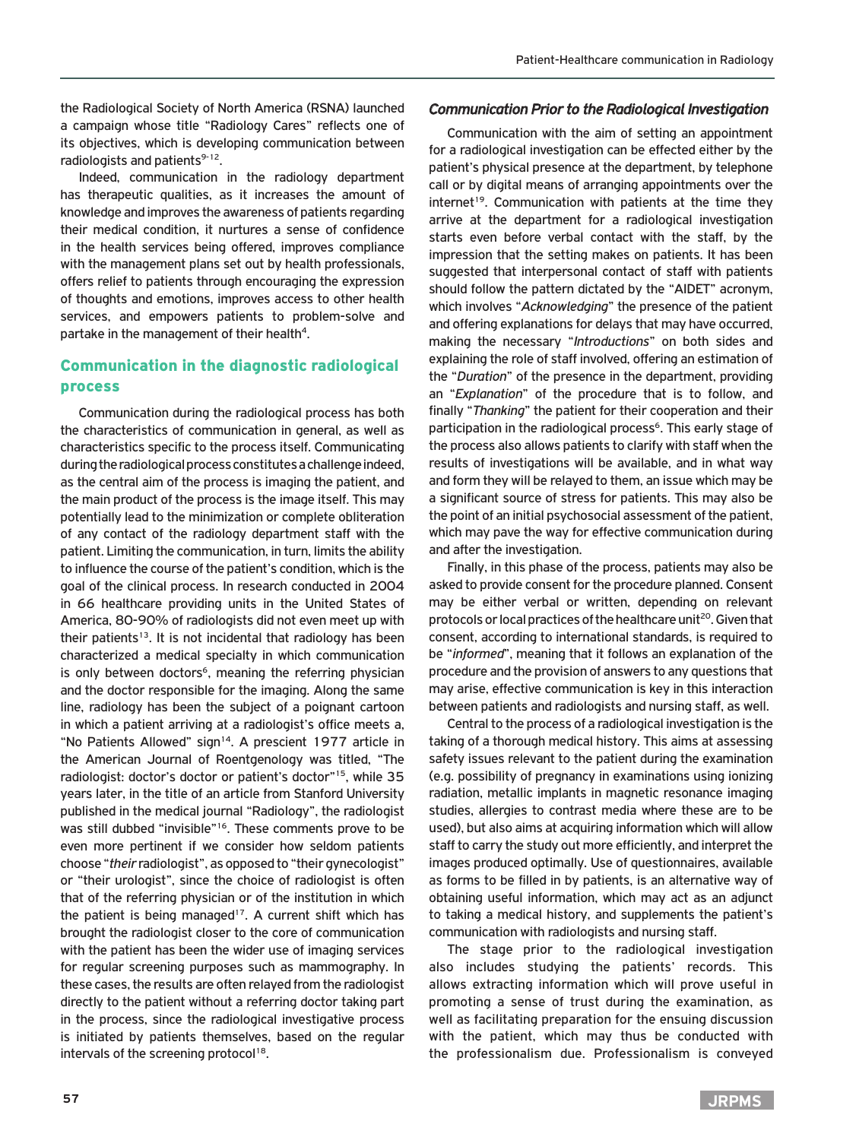the Radiological Society of North America (RSNA) launched a campaign whose title "Radiology Cares" reflects one of its objectives, which is developing communication between radiologists and patients<sup>9-12</sup>.

Indeed, communication in the radiology department has therapeutic qualities, as it increases the amount of knowledge and improves the awareness of patients regarding their medical condition, it nurtures a sense of confidence in the health services being offered, improves compliance with the management plans set out by health professionals, offers relief to patients through encouraging the expression of thoughts and emotions, improves access to other health services, and empowers patients to problem-solve and partake in the management of their health<sup>4</sup>.

# Communication in the diagnostic radiological process

Communication during the radiological process has both the characteristics of communication in general, as well as characteristics specific to the process itself. Communicating during the radiological process constitutes a challenge indeed, as the central aim of the process is imaging the patient, and the main product of the process is the image itself. This may potentially lead to the minimization or complete obliteration of any contact of the radiology department staff with the patient. Limiting the communication, in turn, limits the ability to influence the course of the patient's condition, which is the goal of the clinical process. In research conducted in 2004 in 66 healthcare providing units in the United States of America, 80-90% of radiologists did not even meet up with their patients<sup>13</sup>. It is not incidental that radiology has been characterized a medical specialty in which communication is only between doctors<sup>6</sup>, meaning the referring physician and the doctor responsible for the imaging. Along the same line, radiology has been the subject of a poignant cartoon in which a patient arriving at a radiologist's office meets a, "No Patients Allowed" sign<sup>14</sup>. A prescient 1977 article in the American Journal of Roentgenology was titled, "The radiologist: doctor's doctor or patient's doctor"15, while 35 years later, in the title of an article from Stanford University published in the medical journal "Radiology", the radiologist was still dubbed "invisible"<sup>16</sup>. These comments prove to be even more pertinent if we consider how seldom patients choose "*their* radiologist", as opposed to "their gynecologist" or "their urologist", since the choice of radiologist is often that of the referring physician or of the institution in which the patient is being managed<sup>17</sup>. A current shift which has brought the radiologist closer to the core of communication with the patient has been the wider use of imaging services for regular screening purposes such as mammography. In these cases, the results are often relayed from the radiologist directly to the patient without a referring doctor taking part in the process, since the radiological investigative process is initiated by patients themselves, based on the regular intervals of the screening protocol<sup>18</sup>.

## *Communication Prior to the Radiological Investigation*

Communication with the aim of setting an appointment for a radiological investigation can be effected either by the patient's physical presence at the department, by telephone call or by digital means of arranging appointments over the internet<sup>19</sup>. Communication with patients at the time they arrive at the department for a radiological investigation starts even before verbal contact with the staff, by the impression that the setting makes on patients. It has been suggested that interpersonal contact of staff with patients should follow the pattern dictated by the "AIDET" acronym, which involves "*Acknowledging*" the presence of the patient and offering explanations for delays that may have occurred, making the necessary "*Introductions*" on both sides and explaining the role of staff involved, offering an estimation of the "*Duration*" of the presence in the department, providing an "*Explanation*" of the procedure that is to follow, and finally "*Thanking*" the patient for their cooperation and their participation in the radiological process<sup>6</sup>. This early stage of the process also allows patients to clarify with staff when the results of investigations will be available, and in what way and form they will be relayed to them, an issue which may be a significant source of stress for patients. This may also be the point of an initial psychosocial assessment of the patient, which may pave the way for effective communication during and after the investigation.

Finally, in this phase of the process, patients may also be asked to provide consent for the procedure planned. Consent may be either verbal or written, depending on relevant protocols or local practices of the healthcare unit<sup>20</sup>. Given that consent, according to international standards, is required to be "*informed*", meaning that it follows an explanation of the procedure and the provision of answers to any questions that may arise, effective communication is key in this interaction between patients and radiologists and nursing staff, as well.

Central to the process of a radiological investigation is the taking of a thorough medical history. This aims at assessing safety issues relevant to the patient during the examination (e.g. possibility of pregnancy in examinations using ionizing radiation, metallic implants in magnetic resonance imaging studies, allergies to contrast media where these are to be used), but also aims at acquiring information which will allow staff to carry the study out more efficiently, and interpret the images produced optimally. Use of questionnaires, available as forms to be filled in by patients, is an alternative way of obtaining useful information, which may act as an adjunct to taking a medical history, and supplements the patient's communication with radiologists and nursing staff.

The stage prior to the radiological investigation also includes studying the patients' records. This allows extracting information which will prove useful in promoting a sense of trust during the examination, as well as facilitating preparation for the ensuing discussion with the patient, which may thus be conducted with the professionalism due. Professionalism is conveyed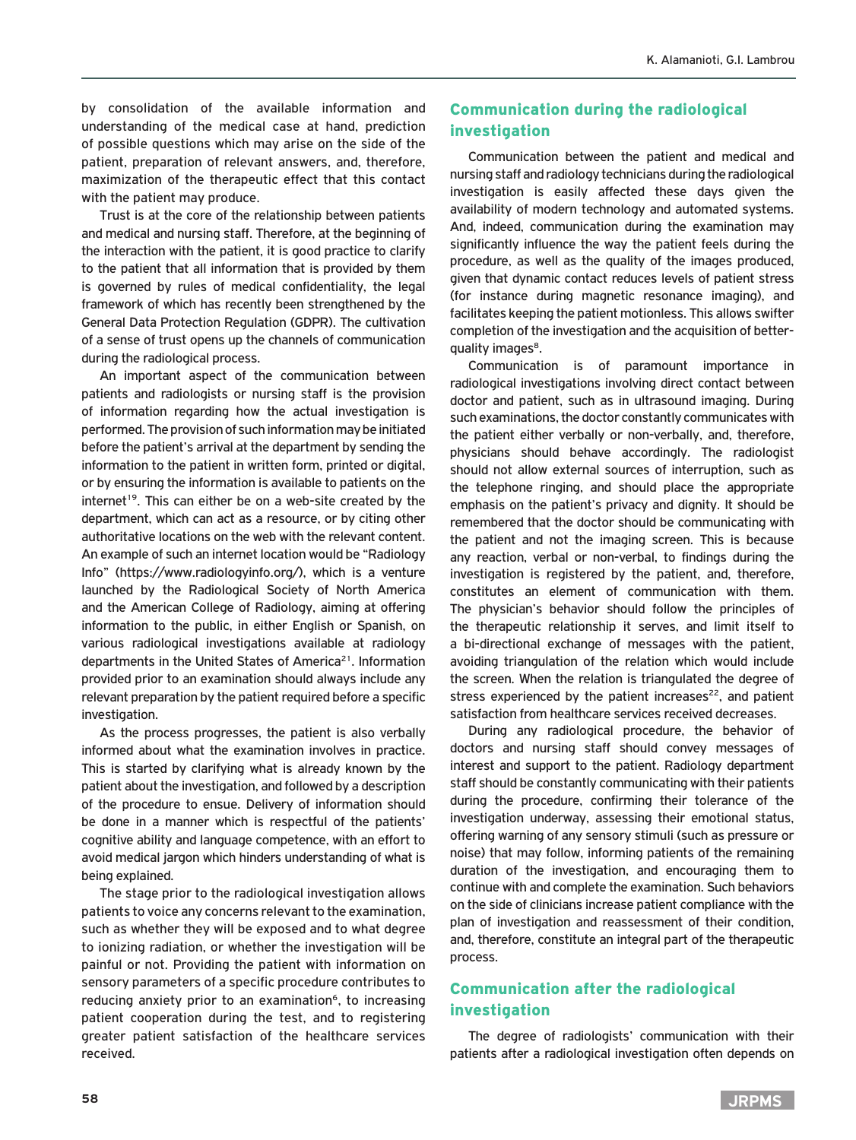by consolidation of the available information and understanding of the medical case at hand, prediction of possible questions which may arise on the side of the patient, preparation of relevant answers, and, therefore, maximization of the therapeutic effect that this contact with the patient may produce.

Trust is at the core of the relationship between patients and medical and nursing staff. Therefore, at the beginning of the interaction with the patient, it is good practice to clarify to the patient that all information that is provided by them is governed by rules of medical confidentiality, the legal framework of which has recently been strengthened by the General Data Protection Regulation (GDPR). The cultivation of a sense of trust opens up the channels of communication during the radiological process.

An important aspect of the communication between patients and radiologists or nursing staff is the provision of information regarding how the actual investigation is performed. The provision of such information may be initiated before the patient's arrival at the department by sending the information to the patient in written form, printed or digital, or by ensuring the information is available to patients on the internet<sup>19</sup>. This can either be on a web-site created by the department, which can act as a resource, or by citing other authoritative locations on the web with the relevant content. An example of such an internet location would be "Radiology Info" (https://www.radiologyinfo.org/), which is a venture launched by the Radiological Society of North America and the American College of Radiology, aiming at offering information to the public, in either English or Spanish, on various radiological investigations available at radiology departments in the United States of America<sup>21</sup>. Information provided prior to an examination should always include any relevant preparation by the patient required before a specific investigation.

As the process progresses, the patient is also verbally informed about what the examination involves in practice. This is started by clarifying what is already known by the patient about the investigation, and followed by a description of the procedure to ensue. Delivery of information should be done in a manner which is respectful of the patients' cognitive ability and language competence, with an effort to avoid medical jargon which hinders understanding of what is being explained.

The stage prior to the radiological investigation allows patients to voice any concerns relevant to the examination, such as whether they will be exposed and to what degree to ionizing radiation, or whether the investigation will be painful or not. Providing the patient with information on sensory parameters of a specific procedure contributes to reducing anxiety prior to an examination<sup>6</sup>, to increasing patient cooperation during the test, and to registering greater patient satisfaction of the healthcare services received.

# Communication during the radiological investigation

Communication between the patient and medical and nursing staff and radiology technicians during the radiological investigation is easily affected these days given the availability of modern technology and automated systems. And, indeed, communication during the examination may significantly influence the way the patient feels during the procedure, as well as the quality of the images produced, given that dynamic contact reduces levels of patient stress (for instance during magnetic resonance imaging), and facilitates keeping the patient motionless. This allows swifter completion of the investigation and the acquisition of betterquality images<sup>8</sup>.

Communication is of paramount importance in radiological investigations involving direct contact between doctor and patient, such as in ultrasound imaging. During such examinations, the doctor constantly communicates with the patient either verbally or non-verbally, and, therefore, physicians should behave accordingly. The radiologist should not allow external sources of interruption, such as the telephone ringing, and should place the appropriate emphasis on the patient's privacy and dignity. It should be remembered that the doctor should be communicating with the patient and not the imaging screen. This is because any reaction, verbal or non-verbal, to findings during the investigation is registered by the patient, and, therefore, constitutes an element of communication with them. The physician's behavior should follow the principles of the therapeutic relationship it serves, and limit itself to a bi-directional exchange of messages with the patient, avoiding triangulation of the relation which would include the screen. When the relation is triangulated the degree of stress experienced by the patient increases $22$ , and patient satisfaction from healthcare services received decreases.

During any radiological procedure, the behavior of doctors and nursing staff should convey messages of interest and support to the patient. Radiology department staff should be constantly communicating with their patients during the procedure, confirming their tolerance of the investigation underway, assessing their emotional status, offering warning of any sensory stimuli (such as pressure or noise) that may follow, informing patients of the remaining duration of the investigation, and encouraging them to continue with and complete the examination. Such behaviors on the side of clinicians increase patient compliance with the plan of investigation and reassessment of their condition, and, therefore, constitute an integral part of the therapeutic process.

# Communication after the radiological investigation

The degree of radiologists' communication with their patients after a radiological investigation often depends on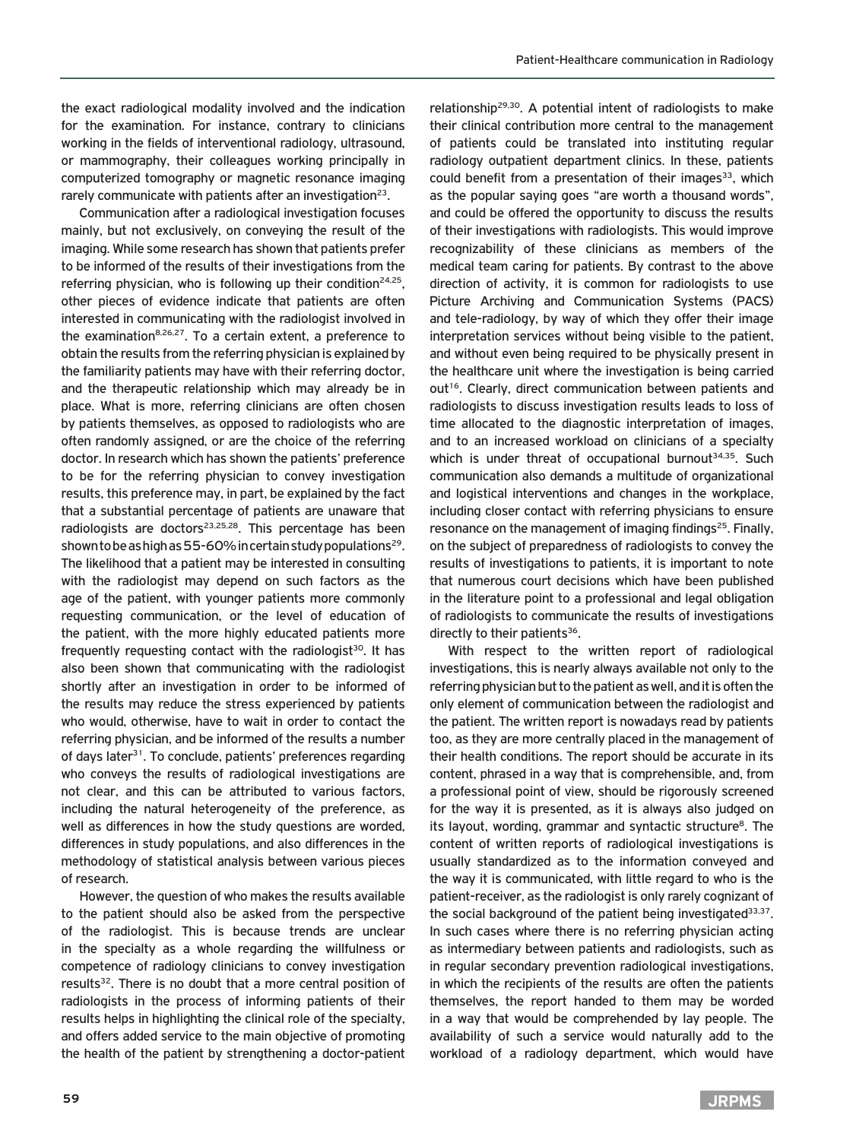the exact radiological modality involved and the indication for the examination. For instance, contrary to clinicians working in the fields of interventional radiology, ultrasound, or mammography, their colleagues working principally in computerized tomography or magnetic resonance imaging rarely communicate with patients after an investigation<sup>23</sup>.

Communication after a radiological investigation focuses mainly, but not exclusively, on conveying the result of the imaging. While some research has shown that patients prefer to be informed of the results of their investigations from the referring physician, who is following up their condition<sup>24,25</sup>, other pieces of evidence indicate that patients are often interested in communicating with the radiologist involved in the examination<sup>8,26,27</sup>. To a certain extent, a preference to obtain the results from the referring physician is explained by the familiarity patients may have with their referring doctor, and the therapeutic relationship which may already be in place. What is more, referring clinicians are often chosen by patients themselves, as opposed to radiologists who are often randomly assigned, or are the choice of the referring doctor. In research which has shown the patients' preference to be for the referring physician to convey investigation results, this preference may, in part, be explained by the fact that a substantial percentage of patients are unaware that radiologists are doctors<sup>23,25,28</sup>. This percentage has been shown to be as high as 55-60% in certain study populations<sup>29</sup>. The likelihood that a patient may be interested in consulting with the radiologist may depend on such factors as the age of the patient, with younger patients more commonly requesting communication, or the level of education of the patient, with the more highly educated patients more frequently requesting contact with the radiologist<sup>30</sup>. It has also been shown that communicating with the radiologist shortly after an investigation in order to be informed of the results may reduce the stress experienced by patients who would, otherwise, have to wait in order to contact the referring physician, and be informed of the results a number of days later<sup>31</sup>. To conclude, patients' preferences regarding who conveys the results of radiological investigations are not clear, and this can be attributed to various factors, including the natural heterogeneity of the preference, as well as differences in how the study questions are worded, differences in study populations, and also differences in the methodology of statistical analysis between various pieces of research.

However, the question of who makes the results available to the patient should also be asked from the perspective of the radiologist. This is because trends are unclear in the specialty as a whole regarding the willfulness or competence of radiology clinicians to convey investigation results<sup>32</sup>. There is no doubt that a more central position of radiologists in the process of informing patients of their results helps in highlighting the clinical role of the specialty, and offers added service to the main objective of promoting the health of the patient by strengthening a doctor-patient relationship29,30. A potential intent of radiologists to make their clinical contribution more central to the management of patients could be translated into instituting regular radiology outpatient department clinics. In these, patients could benefit from a presentation of their images<sup>33</sup>, which as the popular saying goes "are worth a thousand words", and could be offered the opportunity to discuss the results of their investigations with radiologists. This would improve recognizability of these clinicians as members of the medical team caring for patients. By contrast to the above direction of activity, it is common for radiologists to use Picture Archiving and Communication Systems (PACS) and tele-radiology, by way of which they offer their image interpretation services without being visible to the patient, and without even being required to be physically present in the healthcare unit where the investigation is being carried out<sup>16</sup>. Clearly, direct communication between patients and radiologists to discuss investigation results leads to loss of time allocated to the diagnostic interpretation of images, and to an increased workload on clinicians of a specialty which is under threat of occupational burnout<sup>34,35</sup>. Such communication also demands a multitude of organizational and logistical interventions and changes in the workplace, including closer contact with referring physicians to ensure resonance on the management of imaging findings<sup>25</sup>. Finally, on the subject of preparedness of radiologists to convey the results of investigations to patients, it is important to note that numerous court decisions which have been published in the literature point to a professional and legal obligation of radiologists to communicate the results of investigations directly to their patients $36$ .

With respect to the written report of radiological investigations, this is nearly always available not only to the referring physician but to the patient as well, and it is often the only element of communication between the radiologist and the patient. The written report is nowadays read by patients too, as they are more centrally placed in the management of their health conditions. The report should be accurate in its content, phrased in a way that is comprehensible, and, from a professional point of view, should be rigorously screened for the way it is presented, as it is always also judged on its layout, wording, grammar and syntactic structure<sup>8</sup>. The content of written reports of radiological investigations is usually standardized as to the information conveyed and the way it is communicated, with little regard to who is the patient-receiver, as the radiologist is only rarely cognizant of the social background of the patient being investigated $33,37$ . In such cases where there is no referring physician acting as intermediary between patients and radiologists, such as in regular secondary prevention radiological investigations, in which the recipients of the results are often the patients themselves, the report handed to them may be worded in a way that would be comprehended by lay people. The availability of such a service would naturally add to the workload of a radiology department, which would have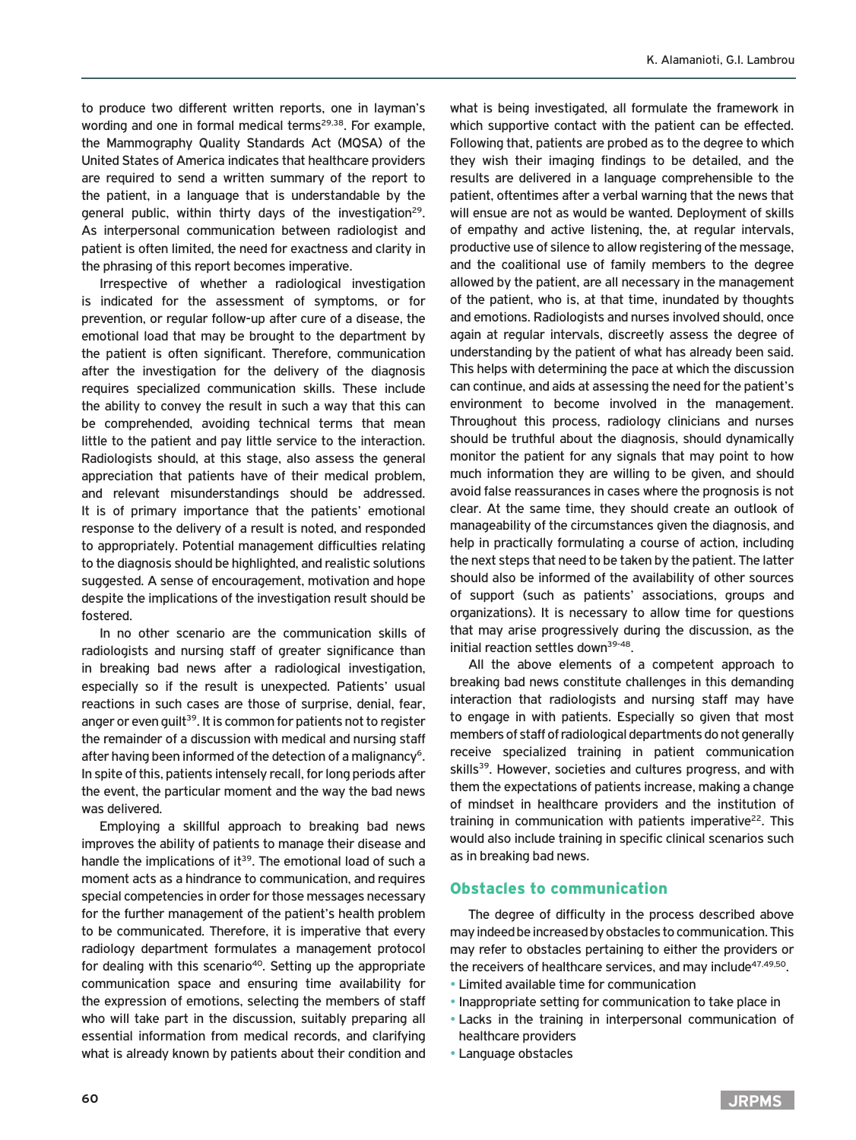to produce two different written reports, one in layman's wording and one in formal medical terms<sup>29,38</sup>. For example, the Mammography Quality Standards Act (MQSA) of the United States of America indicates that healthcare providers are required to send a written summary of the report to the patient, in a language that is understandable by the general public, within thirty days of the investigation<sup>29</sup>. As interpersonal communication between radiologist and patient is often limited, the need for exactness and clarity in the phrasing of this report becomes imperative.

Irrespective of whether a radiological investigation is indicated for the assessment of symptoms, or for prevention, or regular follow-up after cure of a disease, the emotional load that may be brought to the department by the patient is often significant. Therefore, communication after the investigation for the delivery of the diagnosis requires specialized communication skills. These include the ability to convey the result in such a way that this can be comprehended, avoiding technical terms that mean little to the patient and pay little service to the interaction. Radiologists should, at this stage, also assess the general appreciation that patients have of their medical problem, and relevant misunderstandings should be addressed. It is of primary importance that the patients' emotional response to the delivery of a result is noted, and responded to appropriately. Potential management difficulties relating to the diagnosis should be highlighted, and realistic solutions suggested. A sense of encouragement, motivation and hope despite the implications of the investigation result should be fostered.

In no other scenario are the communication skills of radiologists and nursing staff of greater significance than in breaking bad news after a radiological investigation, especially so if the result is unexpected. Patients' usual reactions in such cases are those of surprise, denial, fear, anger or even quilt<sup>39</sup>. It is common for patients not to register the remainder of a discussion with medical and nursing staff after having been informed of the detection of a malignancy<sup>6</sup>. In spite of this, patients intensely recall, for long periods after the event, the particular moment and the way the bad news was delivered.

Employing a skillful approach to breaking bad news improves the ability of patients to manage their disease and handle the implications of  $it^{39}$ . The emotional load of such a moment acts as a hindrance to communication, and requires special competencies in order for those messages necessary for the further management of the patient's health problem to be communicated. Therefore, it is imperative that every radiology department formulates a management protocol for dealing with this scenario<sup>40</sup>. Setting up the appropriate communication space and ensuring time availability for the expression of emotions, selecting the members of staff who will take part in the discussion, suitably preparing all essential information from medical records, and clarifying what is already known by patients about their condition and

what is being investigated, all formulate the framework in which supportive contact with the patient can be effected. Following that, patients are probed as to the degree to which they wish their imaging findings to be detailed, and the results are delivered in a language comprehensible to the patient, oftentimes after a verbal warning that the news that will ensue are not as would be wanted. Deployment of skills of empathy and active listening, the, at regular intervals, productive use of silence to allow registering of the message, and the coalitional use of family members to the degree allowed by the patient, are all necessary in the management of the patient, who is, at that time, inundated by thoughts and emotions. Radiologists and nurses involved should, once again at regular intervals, discreetly assess the degree of understanding by the patient of what has already been said. This helps with determining the pace at which the discussion can continue, and aids at assessing the need for the patient's environment to become involved in the management. Throughout this process, radiology clinicians and nurses should be truthful about the diagnosis, should dynamically monitor the patient for any signals that may point to how much information they are willing to be given, and should avoid false reassurances in cases where the prognosis is not clear. At the same time, they should create an outlook of manageability of the circumstances given the diagnosis, and help in practically formulating a course of action, including the next steps that need to be taken by the patient. The latter should also be informed of the availability of other sources of support (such as patients' associations, groups and organizations). It is necessary to allow time for questions that may arise progressively during the discussion, as the initial reaction settles down<sup>39-48</sup>.

All the above elements of a competent approach to breaking bad news constitute challenges in this demanding interaction that radiologists and nursing staff may have to engage in with patients. Especially so given that most members of staff of radiological departments do not generally receive specialized training in patient communication skills<sup>39</sup>. However, societies and cultures progress, and with them the expectations of patients increase, making a change of mindset in healthcare providers and the institution of training in communication with patients imperative<sup>22</sup>. This would also include training in specific clinical scenarios such as in breaking bad news.

## Obstacles to communication

The degree of difficulty in the process described above may indeed be increased by obstacles to communication. This may refer to obstacles pertaining to either the providers or the receivers of healthcare services, and may include<sup>47,49,50</sup>.

- Limited available time for communication
- Inappropriate setting for communication to take place in
- Lacks in the training in interpersonal communication of healthcare providers
- Language obstacles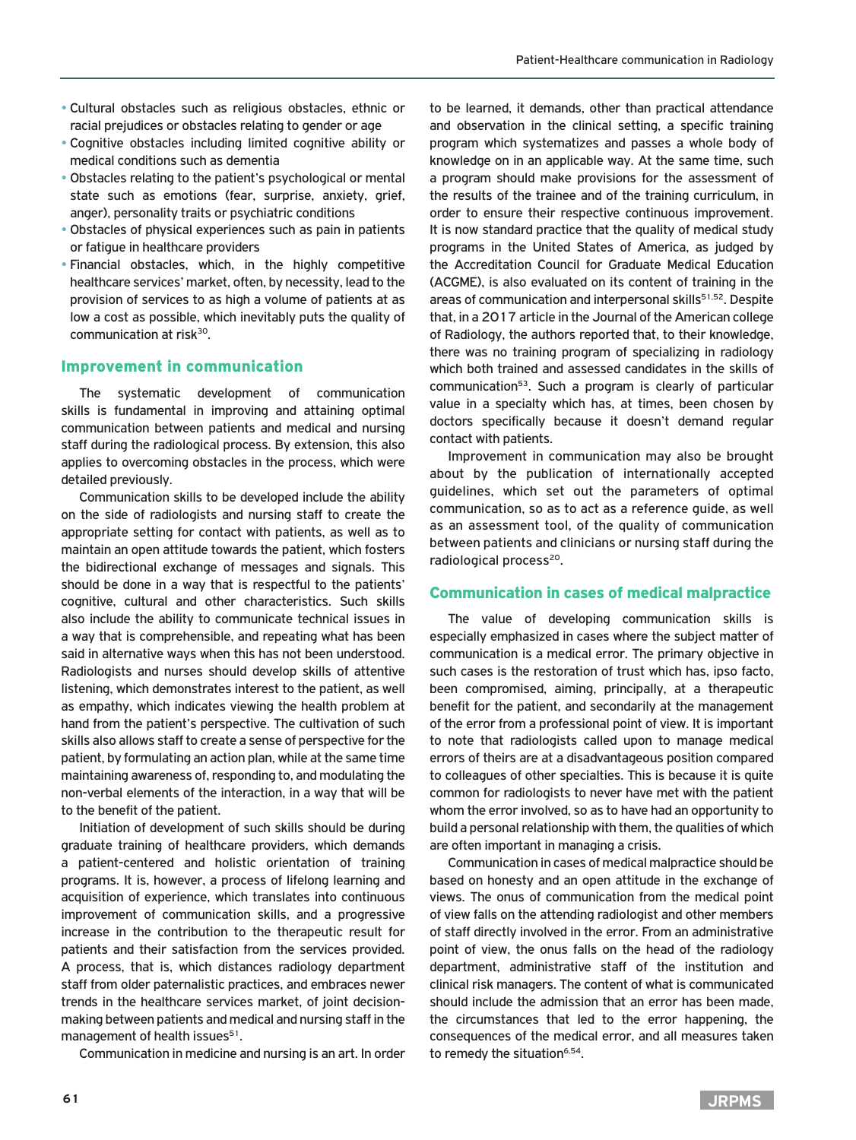- Cultural obstacles such as religious obstacles, ethnic or racial prejudices or obstacles relating to gender or age
- Cognitive obstacles including limited cognitive ability or medical conditions such as dementia
- Obstacles relating to the patient's psychological or mental state such as emotions (fear, surprise, anxiety, grief, anger), personality traits or psychiatric conditions
- Obstacles of physical experiences such as pain in patients or fatigue in healthcare providers
- Financial obstacles, which, in the highly competitive healthcare services' market, often, by necessity, lead to the provision of services to as high a volume of patients at as low a cost as possible, which inevitably puts the quality of communication at risk30.

### Improvement in communication

The systematic development of communication skills is fundamental in improving and attaining optimal communication between patients and medical and nursing staff during the radiological process. By extension, this also applies to overcoming obstacles in the process, which were detailed previously.

Communication skills to be developed include the ability on the side of radiologists and nursing staff to create the appropriate setting for contact with patients, as well as to maintain an open attitude towards the patient, which fosters the bidirectional exchange of messages and signals. This should be done in a way that is respectful to the patients' cognitive, cultural and other characteristics. Such skills also include the ability to communicate technical issues in a way that is comprehensible, and repeating what has been said in alternative ways when this has not been understood. Radiologists and nurses should develop skills of attentive listening, which demonstrates interest to the patient, as well as empathy, which indicates viewing the health problem at hand from the patient's perspective. The cultivation of such skills also allows staff to create a sense of perspective for the patient, by formulating an action plan, while at the same time maintaining awareness of, responding to, and modulating the non-verbal elements of the interaction, in a way that will be to the benefit of the patient.

Initiation of development of such skills should be during graduate training of healthcare providers, which demands a patient-centered and holistic orientation of training programs. It is, however, a process of lifelong learning and acquisition of experience, which translates into continuous improvement of communication skills, and a progressive increase in the contribution to the therapeutic result for patients and their satisfaction from the services provided. A process, that is, which distances radiology department staff from older paternalistic practices, and embraces newer trends in the healthcare services market, of joint decisionmaking between patients and medical and nursing staff in the management of health issues<sup>51</sup>.

Communication in medicine and nursing is an art. In order

to be learned, it demands, other than practical attendance and observation in the clinical setting, a specific training program which systematizes and passes a whole body of knowledge on in an applicable way. At the same time, such a program should make provisions for the assessment of the results of the trainee and of the training curriculum, in order to ensure their respective continuous improvement. It is now standard practice that the quality of medical study programs in the United States of America, as judged by the Accreditation Council for Graduate Medical Education (ACGME), is also evaluated on its content of training in the areas of communication and interpersonal skills<sup>51,52</sup>. Despite that, in a 2017 article in the Journal of the American college of Radiology, the authors reported that, to their knowledge, there was no training program of specializing in radiology which both trained and assessed candidates in the skills of communication53. Such a program is clearly of particular value in a specialty which has, at times, been chosen by doctors specifically because it doesn't demand regular contact with patients.

Improvement in communication may also be brought about by the publication of internationally accepted guidelines, which set out the parameters of optimal communication, so as to act as a reference guide, as well as an assessment tool, of the quality of communication between patients and clinicians or nursing staff during the radiological process $^{20}$ .

#### Communication in cases of medical malpractice

The value of developing communication skills is especially emphasized in cases where the subject matter of communication is a medical error. The primary objective in such cases is the restoration of trust which has, ipso facto, been compromised, aiming, principally, at a therapeutic benefit for the patient, and secondarily at the management of the error from a professional point of view. It is important to note that radiologists called upon to manage medical errors of theirs are at a disadvantageous position compared to colleagues of other specialties. This is because it is quite common for radiologists to never have met with the patient whom the error involved, so as to have had an opportunity to build a personal relationship with them, the qualities of which are often important in managing a crisis.

Communication in cases of medical malpractice should be based on honesty and an open attitude in the exchange of views. The onus of communication from the medical point of view falls on the attending radiologist and other members of staff directly involved in the error. From an administrative point of view, the onus falls on the head of the radiology department, administrative staff of the institution and clinical risk managers. The content of what is communicated should include the admission that an error has been made, the circumstances that led to the error happening, the consequences of the medical error, and all measures taken to remedy the situation<sup>6,54</sup>.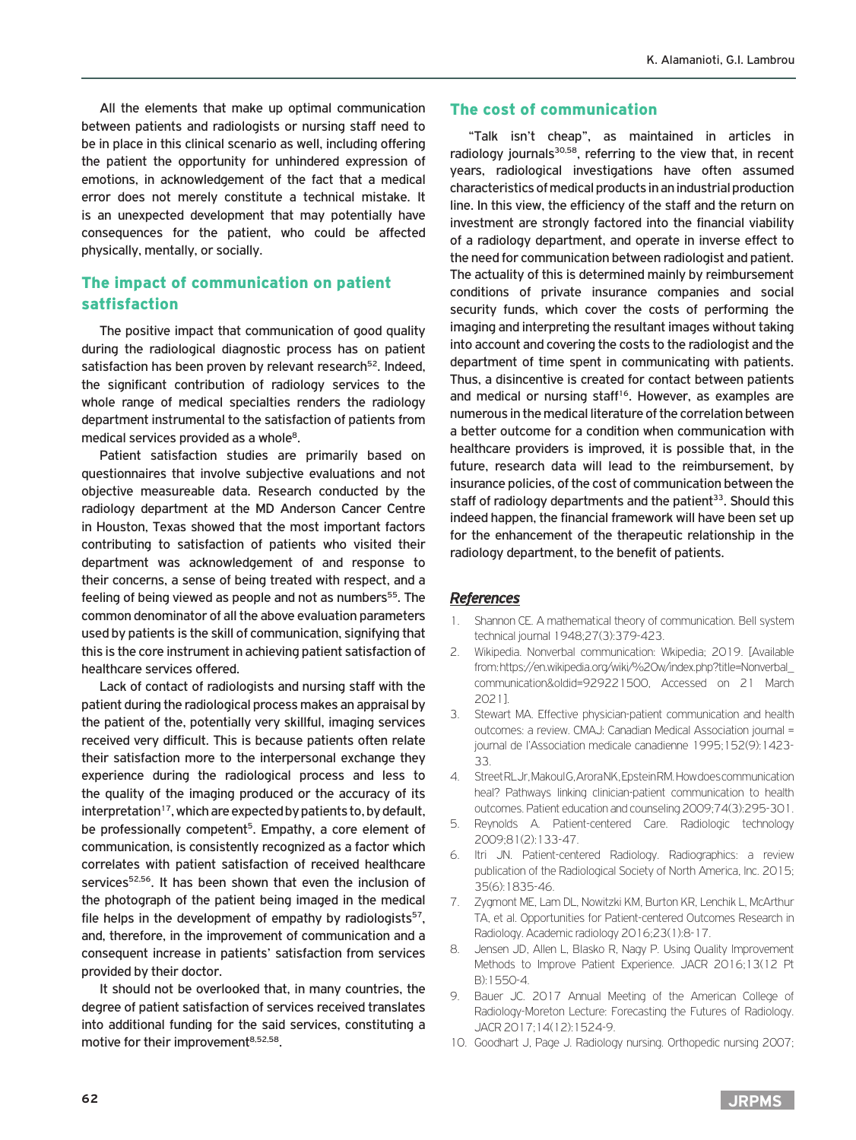All the elements that make up optimal communication between patients and radiologists or nursing staff need to be in place in this clinical scenario as well, including offering the patient the opportunity for unhindered expression of emotions, in acknowledgement of the fact that a medical error does not merely constitute a technical mistake. It is an unexpected development that may potentially have consequences for the patient, who could be affected physically, mentally, or socially.

# The impact of communication on patient satfisfaction

The positive impact that communication of good quality during the radiological diagnostic process has on patient satisfaction has been proven by relevant research<sup>52</sup>. Indeed, the significant contribution of radiology services to the whole range of medical specialties renders the radiology department instrumental to the satisfaction of patients from medical services provided as a whole<sup>8</sup>.

Patient satisfaction studies are primarily based on questionnaires that involve subjective evaluations and not objective measureable data. Research conducted by the radiology department at the MD Anderson Cancer Centre in Houston, Texas showed that the most important factors contributing to satisfaction of patients who visited their department was acknowledgement of and response to their concerns, a sense of being treated with respect, and a feeling of being viewed as people and not as numbers<sup>55</sup>. The common denominator of all the above evaluation parameters used by patients is the skill of communication, signifying that this is the core instrument in achieving patient satisfaction of healthcare services offered.

Lack of contact of radiologists and nursing staff with the patient during the radiological process makes an appraisal by the patient of the, potentially very skillful, imaging services received very difficult. This is because patients often relate their satisfaction more to the interpersonal exchange they experience during the radiological process and less to the quality of the imaging produced or the accuracy of its  $interpretation<sup>17</sup>$ , which are expected by patients to, by default, be professionally competent<sup>5</sup>. Empathy, a core element of communication, is consistently recognized as a factor which correlates with patient satisfaction of received healthcare services<sup>52,56</sup>. It has been shown that even the inclusion of the photograph of the patient being imaged in the medical file helps in the development of empathy by radiologists<sup>57</sup>, and, therefore, in the improvement of communication and a consequent increase in patients' satisfaction from services provided by their doctor.

It should not be overlooked that, in many countries, the degree of patient satisfaction of services received translates into additional funding for the said services, constituting a motive for their improvement<sup>8,52,58</sup>.

# The cost of communication

"Talk isn't cheap", as maintained in articles in radiology journals<sup>30,58</sup>, referring to the view that, in recent years, radiological investigations have often assumed characteristics of medical products in an industrial production line. In this view, the efficiency of the staff and the return on investment are strongly factored into the financial viability of a radiology department, and operate in inverse effect to the need for communication between radiologist and patient. The actuality of this is determined mainly by reimbursement conditions of private insurance companies and social security funds, which cover the costs of performing the imaging and interpreting the resultant images without taking into account and covering the costs to the radiologist and the department of time spent in communicating with patients. Thus, a disincentive is created for contact between patients and medical or nursing staff<sup>16</sup>. However, as examples are numerous in the medical literature of the correlation between a better outcome for a condition when communication with healthcare providers is improved, it is possible that, in the future, research data will lead to the reimbursement, by insurance policies, of the cost of communication between the staff of radiology departments and the patient<sup>33</sup>. Should this indeed happen, the financial framework will have been set up for the enhancement of the therapeutic relationship in the radiology department, to the benefit of patients.

## *References*

- 1. Shannon CE. A mathematical theory of communication. Bell system technical journal 1948;27(3):379-423.
- 2. Wikipedia. Nonverbal communication: Wkipedia; 2019. [Available from: https://en.wikipedia.org/wiki/%20w/index.php?title=Nonverbal\_ communication&oldid=929221500, Accessed on 21 March 2021].
- 3. Stewart MA. Effective physician-patient communication and health outcomes: a review. CMAJ: Canadian Medical Association journal = journal de l'Association medicale canadienne 1995;152(9):1423- 33.
- 4. Street RL Jr, Makoul G, Arora NK, Epstein RM. How does communication heal? Pathways linking clinician-patient communication to health outcomes. Patient education and counseling 2009;74(3):295-301.
- 5. Reynolds A. Patient-centered Care. Radiologic technology 2009;81(2):133-47.
- 6. Itri JN. Patient-centered Radiology. Radiographics: a review publication of the Radiological Society of North America, Inc. 2015; 35(6):1835-46.
- 7. Zygmont ME, Lam DL, Nowitzki KM, Burton KR, Lenchik L, McArthur TA, et al. Opportunities for Patient-centered Outcomes Research in Radiology. Academic radiology 2016;23(1):8-17.
- 8. Jensen JD, Allen L, Blasko R, Nagy P. Using Quality Improvement Methods to Improve Patient Experience. JACR 2016;13(12 Pt B):1550-4.
- 9. Bauer JC. 2017 Annual Meeting of the American College of Radiology-Moreton Lecture: Forecasting the Futures of Radiology. JACR 2017;14(12):1524-9.
- 10. Goodhart J, Page J. Radiology nursing. Orthopedic nursing 2007;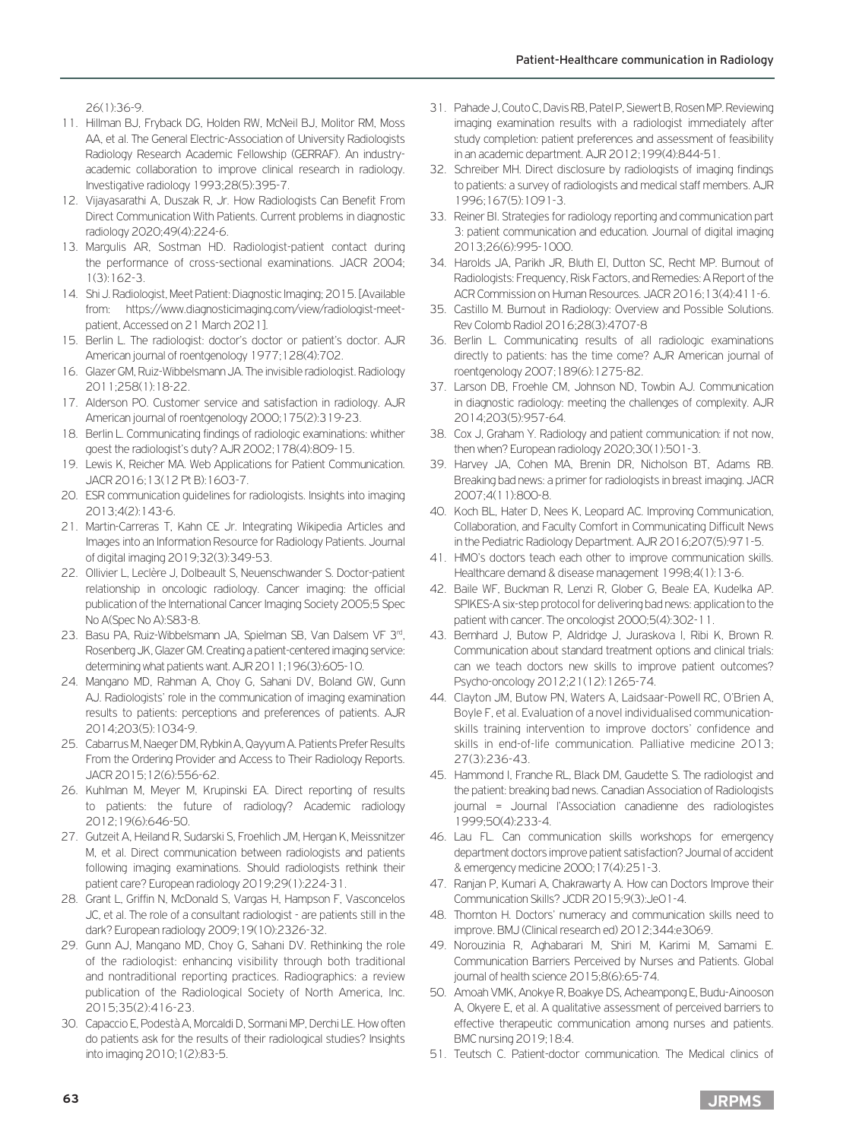26(1):36-9.

- 11. Hillman BJ, Fryback DG, Holden RW, McNeil BJ, Molitor RM, Moss AA, et al. The General Electric-Association of University Radiologists Radiology Research Academic Fellowship (GERRAF). An industryacademic collaboration to improve clinical research in radiology. Investigative radiology 1993;28(5):395-7.
- 12. Vijayasarathi A, Duszak R, Jr. How Radiologists Can Benefit From Direct Communication With Patients. Current problems in diagnostic radiology 2020;49(4):224-6.
- 13. Margulis AR, Sostman HD. Radiologist-patient contact during the performance of cross-sectional examinations. JACR 2004; 1(3):162-3.
- 14. Shi J. Radiologist, Meet Patient: Diagnostic Imaging; 2015. [Available from: https://www.diagnosticimaging.com/view/radiologist-meetpatient, Accessed on 21 March 2021].
- 15. Berlin L. The radiologist: doctor's doctor or patient's doctor. AJR American journal of roentgenology 1977;128(4):702.
- 16. Glazer GM, Ruiz-Wibbelsmann JA. The invisible radiologist. Radiology 2011;258(1):18-22.
- 17. Alderson PO. Customer service and satisfaction in radiology. AJR American journal of roentgenology 2000;175(2):319-23.
- 18. Berlin L. Communicating findings of radiologic examinations: whither goest the radiologist's duty? AJR 2002;178(4):809-15.
- 19. Lewis K, Reicher MA. Web Applications for Patient Communication. JACR 2016;13(12 Pt B):1603-7.
- 20. ESR communication guidelines for radiologists. Insights into imaging 2013;4(2):143-6.
- 21. Martin-Carreras T, Kahn CE Jr. Integrating Wikipedia Articles and Images into an Information Resource for Radiology Patients. Journal of digital imaging 2019;32(3):349-53.
- 22. Ollivier L, Leclère J, Dolbeault S, Neuenschwander S. Doctor-patient relationship in oncologic radiology. Cancer imaging: the official publication of the International Cancer Imaging Society 2005;5 Spec No A(Spec No A):S83-8.
- 23. Basu PA, Ruiz-Wibbelsmann JA, Spielman SB, Van Dalsem VF 3<sup>rd</sup>, Rosenberg JK, Glazer GM. Creating a patient-centered imaging service: determining what patients want. AJR 2011;196(3):605-10.
- 24. Mangano MD, Rahman A, Choy G, Sahani DV, Boland GW, Gunn AJ. Radiologists' role in the communication of imaging examination results to patients: perceptions and preferences of patients. AJR 2014;203(5):1034-9.
- 25. Cabarrus M, Naeger DM, Rybkin A, Qayyum A. Patients Prefer Results From the Ordering Provider and Access to Their Radiology Reports. JACR 2015;12(6):556-62.
- 26. Kuhlman M, Meyer M, Krupinski EA. Direct reporting of results to patients: the future of radiology? Academic radiology 2012;19(6):646-50.
- 27. Gutzeit A, Heiland R, Sudarski S, Froehlich JM, Hergan K, Meissnitzer M, et al. Direct communication between radiologists and patients following imaging examinations. Should radiologists rethink their patient care? European radiology 2019;29(1):224-31.
- 28. Grant L, Griffin N, McDonald S, Vargas H, Hampson F, Vasconcelos JC, et al. The role of a consultant radiologist - are patients still in the dark? European radiology 2009;19(10):2326-32.
- 29. Gunn AJ, Mangano MD, Choy G, Sahani DV. Rethinking the role of the radiologist: enhancing visibility through both traditional and nontraditional reporting practices. Radiographics: a review publication of the Radiological Society of North America, Inc. 2015;35(2):416-23.
- 30. Capaccio E, Podestà A, Morcaldi D, Sormani MP, Derchi LE. How often do patients ask for the results of their radiological studies? Insights into imaging 2010;1(2):83-5.
- 31. Pahade J, Couto C, Davis RB, Patel P, Siewert B, Rosen MP. Reviewing imaging examination results with a radiologist immediately after study completion: patient preferences and assessment of feasibility in an academic department. AJR 2012;199(4):844-51.
- 32. Schreiber MH. Direct disclosure by radiologists of imaging findings to patients: a survey of radiologists and medical staff members. AJR 1996;167(5):1091-3.
- 33. Reiner BI. Strategies for radiology reporting and communication part 3: patient communication and education. Journal of digital imaging 2013;26(6):995-1000.
- 34. Harolds JA, Parikh JR, Bluth EI, Dutton SC, Recht MP. Burnout of Radiologists: Frequency, Risk Factors, and Remedies: A Report of the ACR Commission on Human Resources. JACR 2016;13(4):411-6.
- 35. Castillo M. Burnout in Radiology: Overview and Possible Solutions. Rev Colomb Radiol 2016;28(3):4707-8
- 36. Berlin L. Communicating results of all radiologic examinations directly to patients: has the time come? AJR American journal of roentgenology 2007;189(6):1275-82.
- 37. Larson DB, Froehle CM, Johnson ND, Towbin AJ. Communication in diagnostic radiology: meeting the challenges of complexity. AJR 2014;203(5):957-64.
- 38. Cox J, Graham Y. Radiology and patient communication: if not now, then when? European radiology 2020;30(1):501-3.
- 39. Harvey JA, Cohen MA, Brenin DR, Nicholson BT, Adams RB. Breaking bad news: a primer for radiologists in breast imaging. JACR 2007;4(11):800-8.
- 40. Koch BL, Hater D, Nees K, Leopard AC. Improving Communication, Collaboration, and Faculty Comfort in Communicating Difficult News in the Pediatric Radiology Department. AJR 2016;207(5):971-5.
- 41. HMO's doctors teach each other to improve communication skills. Healthcare demand & disease management 1998;4(1):13-6.
- 42. Baile WF, Buckman R, Lenzi R, Glober G, Beale EA, Kudelka AP. SPIKES-A six-step protocol for delivering bad news: application to the patient with cancer. The oncologist 2000;5(4):302-11.
- 43. Bernhard J, Butow P, Aldridge J, Juraskova I, Ribi K, Brown R. Communication about standard treatment options and clinical trials: can we teach doctors new skills to improve patient outcomes? Psycho-oncology 2012;21(12):1265-74.
- 44. Clayton JM, Butow PN, Waters A, Laidsaar-Powell RC, O'Brien A, Boyle F, et al. Evaluation of a novel individualised communicationskills training intervention to improve doctors' confidence and skills in end-of-life communication. Palliative medicine 2013; 27(3):236-43.
- 45. Hammond I, Franche RL, Black DM, Gaudette S. The radiologist and the patient: breaking bad news. Canadian Association of Radiologists journal = Journal l'Association canadienne des radiologistes 1999;50(4):233-4.
- 46. Lau FL. Can communication skills workshops for emergency department doctors improve patient satisfaction? Journal of accident & emergency medicine 2000;17(4):251-3.
- 47. Ranjan P, Kumari A, Chakrawarty A. How can Doctors Improve their Communication Skills? JCDR 2015;9(3):Je01-4.
- 48. Thornton H. Doctors' numeracy and communication skills need to improve. BMJ (Clinical research ed) 2012;344:e3069.
- 49. Norouzinia R, Aghabarari M, Shiri M, Karimi M, Samami E. Communication Barriers Perceived by Nurses and Patients. Global journal of health science 2015;8(6):65-74.
- 50. Amoah VMK, Anokye R, Boakye DS, Acheampong E, Budu-Ainooson A, Okyere E, et al. A qualitative assessment of perceived barriers to effective therapeutic communication among nurses and patients. BMC nursing 2019;18:4.
- 51. Teutsch C. Patient-doctor communication. The Medical clinics of